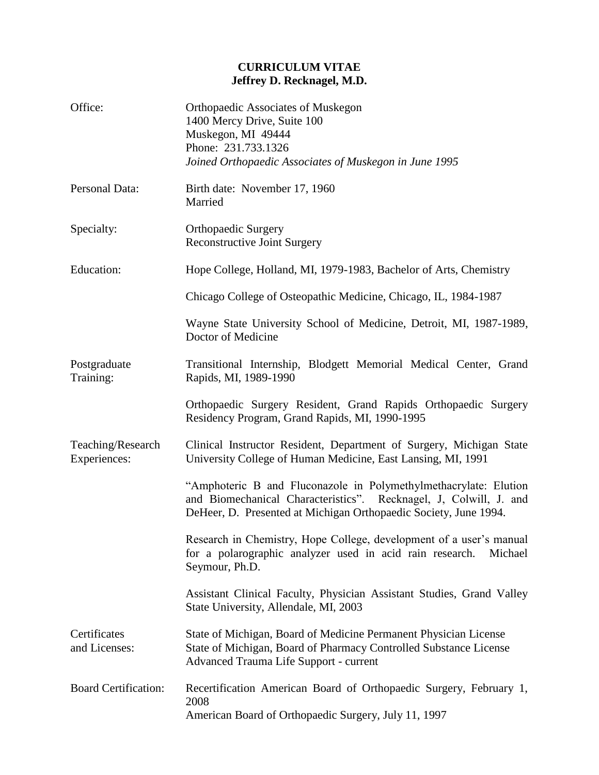## **CURRICULUM VITAE Jeffrey D. Recknagel, M.D.**

| Office:                           | <b>Orthopaedic Associates of Muskegon</b><br>1400 Mercy Drive, Suite 100<br>Muskegon, MI 49444<br>Phone: 231.733.1326<br>Joined Orthopaedic Associates of Muskegon in June 1995                           |
|-----------------------------------|-----------------------------------------------------------------------------------------------------------------------------------------------------------------------------------------------------------|
| Personal Data:                    | Birth date: November 17, 1960<br>Married                                                                                                                                                                  |
| Specialty:                        | <b>Orthopaedic Surgery</b><br><b>Reconstructive Joint Surgery</b>                                                                                                                                         |
| Education:                        | Hope College, Holland, MI, 1979-1983, Bachelor of Arts, Chemistry                                                                                                                                         |
|                                   | Chicago College of Osteopathic Medicine, Chicago, IL, 1984-1987                                                                                                                                           |
|                                   | Wayne State University School of Medicine, Detroit, MI, 1987-1989,<br>Doctor of Medicine                                                                                                                  |
| Postgraduate<br>Training:         | Transitional Internship, Blodgett Memorial Medical Center, Grand<br>Rapids, MI, 1989-1990                                                                                                                 |
|                                   | Orthopaedic Surgery Resident, Grand Rapids Orthopaedic Surgery<br>Residency Program, Grand Rapids, MI, 1990-1995                                                                                          |
| Teaching/Research<br>Experiences: | Clinical Instructor Resident, Department of Surgery, Michigan State<br>University College of Human Medicine, East Lansing, MI, 1991                                                                       |
|                                   | "Amphoteric B and Fluconazole in Polymethylmethacrylate: Elution<br>and Biomechanical Characteristics". Recknagel, J, Colwill, J. and<br>DeHeer, D. Presented at Michigan Orthopaedic Society, June 1994. |
|                                   | Research in Chemistry, Hope College, development of a user's manual<br>for a polarographic analyzer used in acid rain research.<br>Michael<br>Seymour, Ph.D.                                              |
|                                   | Assistant Clinical Faculty, Physician Assistant Studies, Grand Valley<br>State University, Allendale, MI, 2003                                                                                            |
| Certificates<br>and Licenses:     | State of Michigan, Board of Medicine Permanent Physician License<br>State of Michigan, Board of Pharmacy Controlled Substance License<br>Advanced Trauma Life Support - current                           |
| <b>Board Certification:</b>       | Recertification American Board of Orthopaedic Surgery, February 1,<br>2008<br>American Board of Orthopaedic Surgery, July 11, 1997                                                                        |